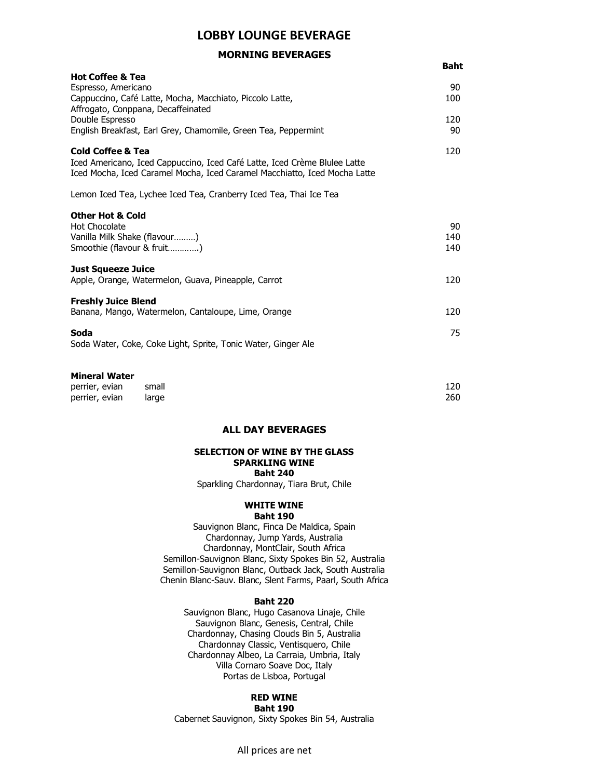# LOBBY LOUNGE BEVERAGE

# MORNING BEVERAGES

|                                                                                                                                                                                        | <b>Baht</b>      |
|----------------------------------------------------------------------------------------------------------------------------------------------------------------------------------------|------------------|
| <b>Hot Coffee &amp; Tea</b><br>Espresso, Americano<br>Cappuccino, Café Latte, Mocha, Macchiato, Piccolo Latte,<br>Affrogato, Conppana, Decaffeinated                                   | 90<br>100        |
| Double Espresso<br>English Breakfast, Earl Grey, Chamomile, Green Tea, Peppermint                                                                                                      | 120<br>90        |
| <b>Cold Coffee &amp; Tea</b><br>Iced Americano, Iced Cappuccino, Iced Café Latte, Iced Crème Blulee Latte<br>Iced Mocha, Iced Caramel Mocha, Iced Caramel Macchiatto, Iced Mocha Latte | 120              |
| Lemon Iced Tea, Lychee Iced Tea, Cranberry Iced Tea, Thai Ice Tea                                                                                                                      |                  |
| <b>Other Hot &amp; Cold</b><br><b>Hot Chocolate</b><br>Vanilla Milk Shake (flavour)<br>Smoothie (flavour & fruit)                                                                      | 90<br>140<br>140 |
| <b>Just Squeeze Juice</b><br>Apple, Orange, Watermelon, Guava, Pineapple, Carrot                                                                                                       | 120              |
| <b>Freshly Juice Blend</b><br>Banana, Mango, Watermelon, Cantaloupe, Lime, Orange                                                                                                      | 120              |
| Soda<br>Soda Water, Coke, Coke Light, Sprite, Tonic Water, Ginger Ale                                                                                                                  | 75               |
|                                                                                                                                                                                        |                  |

### Mineral Water

perrier, evian small 120 perrier, evian large 260

# ALL DAY BEVERAGES

## SELECTION OF WINE BY THE GLASS SPARKLING WINE Baht 240

Sparkling Chardonnay, Tiara Brut, Chile

#### WHITE WINE Baht 190

Sauvignon Blanc, Finca De Maldica, Spain Chardonnay, Jump Yards, Australia Chardonnay, MontClair, South Africa Semillon-Sauvignon Blanc, Sixty Spokes Bin 52, Australia Semillon-Sauvignon Blanc, Outback Jack, South Australia Chenin Blanc-Sauv. Blanc, Slent Farms, Paarl, South Africa

### Baht 220

Sauvignon Blanc, Hugo Casanova Linaje, Chile Sauvignon Blanc, Genesis, Central, Chile Chardonnay, Chasing Clouds Bin 5, Australia Chardonnay Classic, Ventisquero, Chile Chardonnay Albeo, La Carraia, Umbria, Italy Villa Cornaro Soave Doc, Italy Portas de Lisboa, Portugal

## RED WINE Baht 190

Cabernet Sauvignon, Sixty Spokes Bin 54, Australia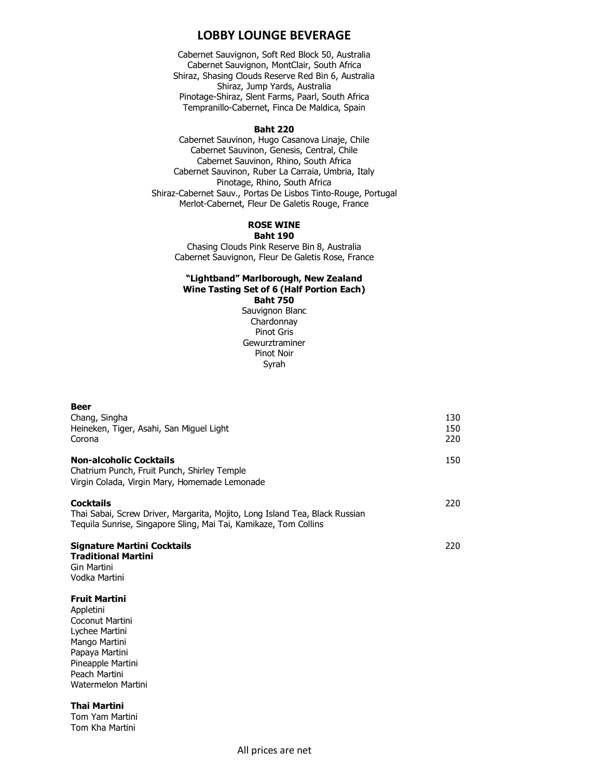# LOBBY LOUNGE BEVERAGE

Cabernet Sauvignon, Soft Red Block 50, Australia Cabernet Sauvignon, MontClair, South Africa Shiraz, Shasing Clouds Reserve Red Bin 6, Australia Shiraz, Jump Yards, Australia Pinotage-Shiraz, Slent Farms, Paarl, South Africa Tempranillo-Cabernet, Finca De Maldica, Spain

#### Baht 220

Cabernet Sauvinon, Hugo Casanova Linaje, Chile Cabernet Sauvinon, Genesis, Central, Chile Cabernet Sauvinon, Rhino, South Africa Cabernet Sauvinon, Ruber La Carraia, Umbria, Italy Pinotage, Rhino, South Africa Shiraz-Cabernet Sauv., Portas De Lisbos Tinto-Rouge, Portugal Merlot-Cabernet, Fleur De Galetis Rouge, France

### ROSE WINE Baht 190

Chasing Clouds Pink Reserve Bin 8, Australia Cabernet Sauvignon, Fleur De Galetis Rose, France

## "Lightband" Marlborough, New Zealand Wine Tasting Set of 6 (Half Portion Each) Baht 750

Sauvignon Blanc Chardonnay Pinot Gris Gewurztraminer Pinot Noir Syrah

| <b>Beer</b>                                                                 |     |
|-----------------------------------------------------------------------------|-----|
| Chang, Singha                                                               | 130 |
| Heineken, Tiger, Asahi, San Miguel Light                                    | 150 |
| Corona                                                                      | 220 |
|                                                                             |     |
| <b>Non-alcoholic Cocktails</b>                                              | 150 |
| Chatrium Punch, Fruit Punch, Shirley Temple                                 |     |
| Virgin Colada, Virgin Mary, Homemade Lemonade                               |     |
|                                                                             |     |
| <b>Cocktails</b>                                                            | 220 |
| Thai Sabai, Screw Driver, Margarita, Mojito, Long Island Tea, Black Russian |     |
| Teguila Sunrise, Singapore Sling, Mai Tai, Kamikaze, Tom Collins            |     |
| Signature Martini Cocktails                                                 | 220 |
| <b>Traditional Martini</b>                                                  |     |
| Gin Martini                                                                 |     |
| Vodka Martini                                                               |     |
|                                                                             |     |
| <b>Fruit Martini</b>                                                        |     |
| Appletini                                                                   |     |
| Coconut Martini                                                             |     |

Coconut Martini Lychee Martini Mango Martini Papaya Martini Pineapple Martini Peach Martini Watermelon Martini

Thai Martini

Tom Yam Martini Tom Kha Martini